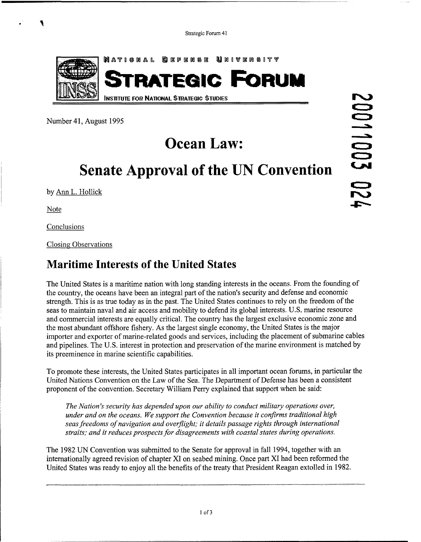

Number 41, August 1995

## **Ocean Law:**

# **Senate Approval of the UN Convention**

by Ann L. Hollick

Note

**a** 

Conclusions

Closing Observations

### **Maritime Interests of the United States**

The United States is a maritime nation with long standing interests in the oceans. From the founding of the country, the oceans have been an integral part of the nation's security and defense and economic strength. This is as true today as in the past. The United States continues to rely on the freedom of the seas to maintain naval and air access and mobility to defend its global interests. U.S. marine resource and commercial interests are equally critical. The country has the largest exclusive economic zone and the most abundant offshore fishery. As the largest single economy, the United States is the major importer and exporter of marine-related goods and services, including the placement of submarine cables and pipelines. The U.S. interest in protection and preservation of the marine environment is matched by its preeminence in marine scientific capabilities.

To promote these interests, the United States participates in all important ocean forums, in particular the United Nations Convention on the Law of the Sea. The Department of Defense has been a consistent proponent of the convention. Secretary William Perry explained that support when he said:

*The Nation's security has depended upon our ability to conduct military operations over, under and on the oceans. We support the Convention because it confirms traditional high*  seas freedoms of navigation and overflight; it details passage rights through international *straits; and it reduces prospects for disagreements with coastal states during operations.* 

The 1982 UN Convention was submitted to the Senate for approval in fall 1994, together with an internationally agreed revision of chapter XI on seabed mining. Once part XI had been reformed the United States was ready to enjoy all the benefits of the treaty that President Reagan extolled in 1982.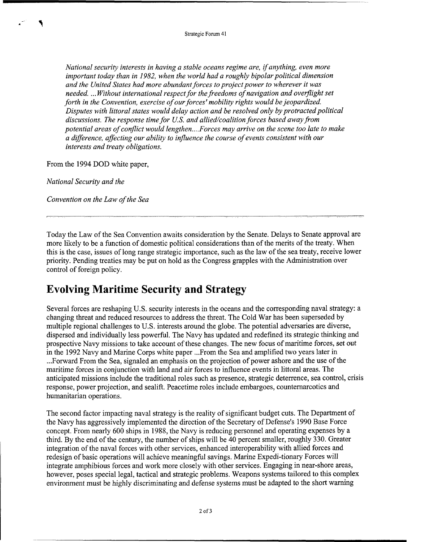*National security interests in having a stable oceans regime are, ifanything, even more important today than in 1982, when the world had a roughly bipolar political dimension and the United States had more abundant forces to project power to wherever it was needed.* ... *Without international respect for the freedoms of navigation and overflight set forth in the Convention, exercise of our forces' mobility rights would be jeopardized. Disputes with littoral states would delay action and be resolved only by protracted political discussions. The response time for US. and allied/coalition forces based away from potential areas of conflict would lengthen* .... *Forces may arrive on the scene too late to make a difference, affecting our ability to influence the course of events consistent with our interests and treaty obligations.* 

From the 1994 DOD white paper,

*National Security and the* 

-- **7** 

*Convention on the Law of the Sea* 

Today the Law of the Sea Convention awaits consideration by the Senate. Delays to Senate approval are more likely to be a function of domestic political considerations than of the merits of the treaty. When this is the case, issues of long range strategic importance, such as the law of the sea treaty, receive lower priority. Pending treaties may be put on hold as the Congress grapples with the Administration over control of foreign policy.

### **Evolving Maritime Security and Strategy**

Several forces are reshaping U.S. security interests in the oceans and the corresponding naval strategy: a changing threat and reduced resources to address the threat. The Cold War has been superseded by multiple regional challenges to U.S. interests around the globe. The potential adversaries are diverse, dispersed and individually less powerful. The Navy has updated and redefined its strategic thinking and prospective Navy missions to take account of these changes. The new focus of maritime forces, set out in the 1992 Navy and Marine Corps white paper ... From the Sea and amplified two years later in ... Forward From the Sea, signaled an emphasis on the projection of power ashore and the use of the maritime forces in conjunction with land and air forces to influence events in littoral areas. The anticipated missions include the traditional roles such as presence, strategic deterrence, sea control, crisis response, power projection, and sealift. Peacetime roles include embargoes, counternarcotics and humanitarian operations.

The second factor impacting naval strategy is the reality of significant budget cuts. The Department of the Navy has aggressively implemented the direction of the Secretary of Defense's 1990 Base Force concept. From nearly 600 ships in 1988, the Navy is reducing personnel and operating expenses by a third. By the end of the century, the number of ships will be 40 percent smaller, roughly 330. Greater integration of the naval forces with other services, enhanced interoperability with allied forces and redesign of basic operations will achieve meaningful savings. Marine Expedi-tionary Forces will integrate amphibious forces and work more closely with other services. Engaging in near-shore areas, however, poses special legal, tactical and strategic problems. Weapons systems tailored to this complex environment must be highly discriminating and defense systems must be adapted to the short warning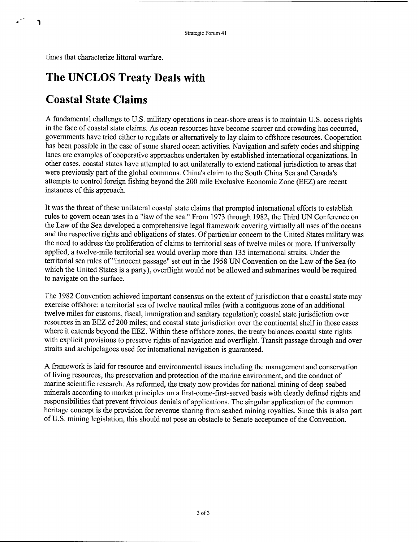times that characterize littoral warfare.

<sup>1</sup>

## **The UNCLOS Treaty Deals with**

## **Coastal State Claims**

A fundamental challenge to U.S. military operations in near-shore areas is to maintain U.S. access rights in the face of coastal state claims. As ocean resources have become scarcer and crowding has occurred, governments have tried either to regulate or alternatively to lay claim to offshore resources. Cooperation has been possible in the case of some shared ocean activities. Navigation and safety codes and shipping lanes are examples of cooperative approaches undertaken by established international organizations. In other cases, coastal states have attempted to act unilaterally to extend national jurisdiction to areas that were previously part of the global commons. China's claim to the South China Sea and Canada's attempts to control foreign fishing beyond the 200 mile Exclusive Economic Zone (EEZ) are recent instances of this approach.

It was the threat of these unilateral coastal state claims that prompted international efforts to establish rules to govern ocean uses in a "law of the sea." From 1973 through 1982, the Third UN Conference on the Law of the Sea developed a comprehensive legal framework covering virtually all uses of the oceans and the respective rights and obligations of states. Of particular concern to the United States military was the need to address the proliferation of claims to territorial seas of twelve miles or more. If universally applied, a twelve-mile territorial sea would overlap more than 135 international straits. Under the territorial sea rules of "innocent passage" set out in the 1958 UN Convention on the Law of the Sea (to which the United States is a party), overflight would not be allowed and submarines would be required to navigate on the surface.

The 1982 Convention achieved important consensus on the extent of jurisdiction that a coastal state may exercise offshore: a territorial sea of twelve nautical miles (with a contiguous zone of an additional twelve miles for customs, fiscal, immigration and sanitary regulation); coastal state jurisdiction over resources in an EEZ of 200 miles; and coastal state jurisdiction over the continental shelf in those cases where it extends beyond the EEZ. Within these offshore zones, the treaty balances coastal state rights with explicit provisions to preserve rights of navigation and overflight. Transit passage through and over straits and archipelagoes used for international navigation is guaranteed.

A framework is laid for resource and environmental issues including the management and conservation of living resources, the preservation and protection of the marine environment, and the conduct of marine scientific research. As reformed, the treaty now provides for national mining of deep seabed minerals according to market principles on a first-come-first-served basis with clearly defined rights and responsibilities that prevent frivolous denials of applications. The singular application of the common heritage concept is the provision for revenue sharing from seabed mining royalties. Since this is also part of U.S. mining legislation, this should not pose an obstacle to Senate acceptance of the Convention.